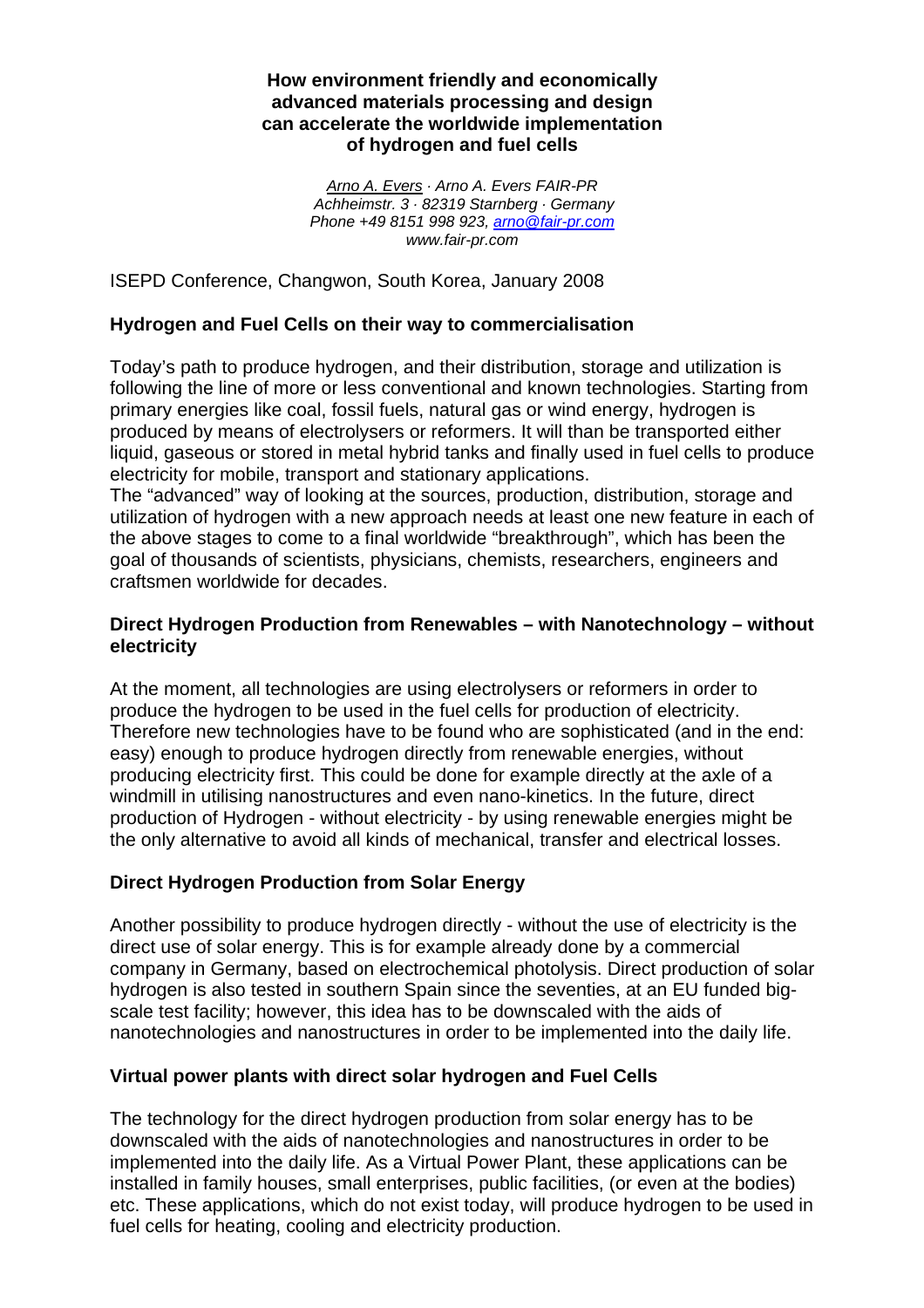### **How environment friendly and economically advanced materials processing and design can accelerate the worldwide implementation of hydrogen and fuel cells**

*Arno A. Evers · Arno A. Evers FAIR-PR Achheimstr. 3 · 82319 Starnberg · Germany Phone +49 8151 998 923, arno@fair-pr.com www.fair-pr.com* 

ISEPD Conference, Changwon, South Korea, January 2008

### **Hydrogen and Fuel Cells on their way to commercialisation**

Today's path to produce hydrogen, and their distribution, storage and utilization is following the line of more or less conventional and known technologies. Starting from primary energies like coal, fossil fuels, natural gas or wind energy, hydrogen is produced by means of electrolysers or reformers. It will than be transported either liquid, gaseous or stored in metal hybrid tanks and finally used in fuel cells to produce electricity for mobile, transport and stationary applications.

The "advanced" way of looking at the sources, production, distribution, storage and utilization of hydrogen with a new approach needs at least one new feature in each of the above stages to come to a final worldwide "breakthrough", which has been the goal of thousands of scientists, physicians, chemists, researchers, engineers and craftsmen worldwide for decades.

### **Direct Hydrogen Production from Renewables – with Nanotechnology – without electricity**

At the moment, all technologies are using electrolysers or reformers in order to produce the hydrogen to be used in the fuel cells for production of electricity. Therefore new technologies have to be found who are sophisticated (and in the end: easy) enough to produce hydrogen directly from renewable energies, without producing electricity first. This could be done for example directly at the axle of a windmill in utilising nanostructures and even nano-kinetics. In the future, direct production of Hydrogen - without electricity - by using renewable energies might be the only alternative to avoid all kinds of mechanical, transfer and electrical losses.

### **Direct Hydrogen Production from Solar Energy**

Another possibility to produce hydrogen directly - without the use of electricity is the direct use of solar energy. This is for example already done by a commercial company in Germany, based on electrochemical photolysis. Direct production of solar hydrogen is also tested in southern Spain since the seventies, at an EU funded bigscale test facility; however, this idea has to be downscaled with the aids of nanotechnologies and nanostructures in order to be implemented into the daily life.

### **Virtual power plants with direct solar hydrogen and Fuel Cells**

The technology for the direct hydrogen production from solar energy has to be downscaled with the aids of nanotechnologies and nanostructures in order to be implemented into the daily life. As a Virtual Power Plant, these applications can be installed in family houses, small enterprises, public facilities, (or even at the bodies) etc. These applications, which do not exist today, will produce hydrogen to be used in fuel cells for heating, cooling and electricity production.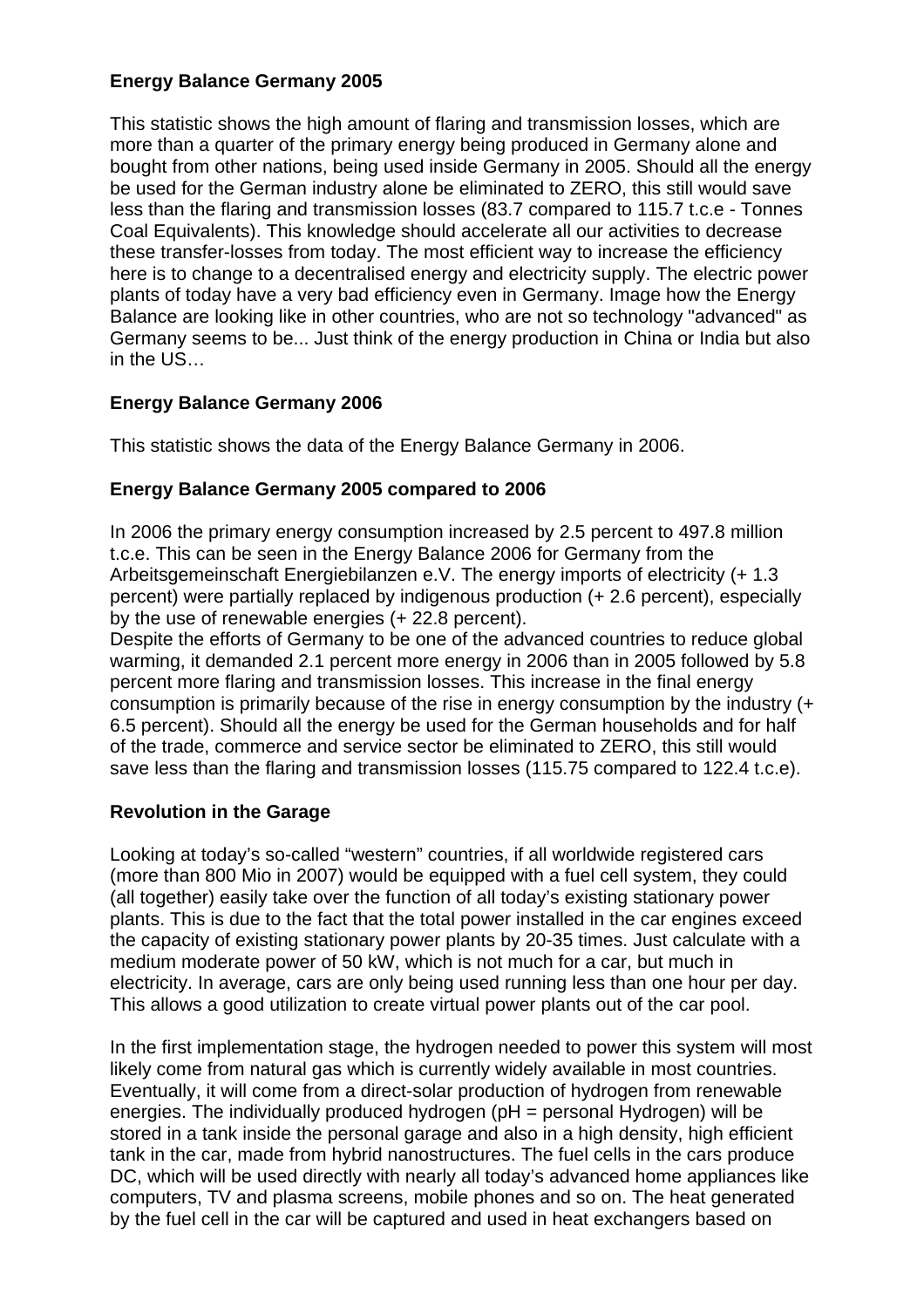### **Energy Balance Germany 2005**

This statistic shows the high amount of flaring and transmission losses, which are more than a quarter of the primary energy being produced in Germany alone and bought from other nations, being used inside Germany in 2005. Should all the energy be used for the German industry alone be eliminated to ZERO, this still would save less than the flaring and transmission losses (83.7 compared to 115.7 t.c.e - Tonnes Coal Equivalents). This knowledge should accelerate all our activities to decrease these transfer-losses from today. The most efficient way to increase the efficiency here is to change to a decentralised energy and electricity supply. The electric power plants of today have a very bad efficiency even in Germany. Image how the Energy Balance are looking like in other countries, who are not so technology "advanced" as Germany seems to be... Just think of the energy production in China or India but also in the US…

# **Energy Balance Germany 2006**

This statistic shows the data of the Energy Balance Germany in 2006.

## **Energy Balance Germany 2005 compared to 2006**

In 2006 the primary energy consumption increased by 2.5 percent to 497.8 million t.c.e. This can be seen in the Energy Balance 2006 for Germany from the Arbeitsgemeinschaft Energiebilanzen e.V. The energy imports of electricity (+ 1.3 percent) were partially replaced by indigenous production (+ 2.6 percent), especially by the use of renewable energies (+ 22.8 percent).

Despite the efforts of Germany to be one of the advanced countries to reduce global warming, it demanded 2.1 percent more energy in 2006 than in 2005 followed by 5.8 percent more flaring and transmission losses. This increase in the final energy consumption is primarily because of the rise in energy consumption by the industry (+ 6.5 percent). Should all the energy be used for the German households and for half of the trade, commerce and service sector be eliminated to ZERO, this still would save less than the flaring and transmission losses (115.75 compared to 122.4 t.c.e).

# **Revolution in the Garage**

Looking at today's so-called "western" countries, if all worldwide registered cars (more than 800 Mio in 2007) would be equipped with a fuel cell system, they could (all together) easily take over the function of all today's existing stationary power plants. This is due to the fact that the total power installed in the car engines exceed the capacity of existing stationary power plants by 20-35 times. Just calculate with a medium moderate power of 50 kW, which is not much for a car, but much in electricity. In average, cars are only being used running less than one hour per day. This allows a good utilization to create virtual power plants out of the car pool.

In the first implementation stage, the hydrogen needed to power this system will most likely come from natural gas which is currently widely available in most countries. Eventually, it will come from a direct-solar production of hydrogen from renewable energies. The individually produced hydrogen (pH = personal Hydrogen) will be stored in a tank inside the personal garage and also in a high density, high efficient tank in the car, made from hybrid nanostructures. The fuel cells in the cars produce DC, which will be used directly with nearly all today's advanced home appliances like computers, TV and plasma screens, mobile phones and so on. The heat generated by the fuel cell in the car will be captured and used in heat exchangers based on